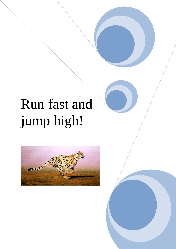# Run fast and jump high!

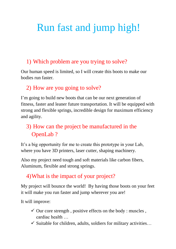# Run fast and jump high!

#### 1) Which problem are you trying to solve?

Our human speed is limited, so I will create this boots to make our bodies run faster.

#### 2) How are you going to solve?

I'm going to build new boots that can be our next generation of fitness, faster and leaner future transportation. It will be equipped with strong and flexible springs, incredible design for maximum efficiency and agility.

### 3) How can the project be manufactured in the OpenLab ?

It's a big opportunity for me to create this prototype in your Lab, where you have 3D printers, laser cutter, shaping machinery.

Also my project need tough and soft materials like carbon fibers, Aluminum, flexible and strong springs.

#### 4)What is the impact of your project?

My project will bounce the world! By having those boots on your feet it will make you run faster and jump wherever you are!

It will improve:

- $\checkmark$  Our core strength, positive effects on the body : muscles, cardiac health …
- $\checkmark$  Suitable for children, adults, soldiers for military activities...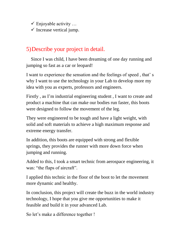$\checkmark$  Enjoyable activity ...

 $\checkmark$  Increase vertical jump.

#### 5)Describe your project in detail.

 Since I was child, I have been dreaming of one day running and jumping so fast as a car or leopard!

I want to experience the sensation and the feelings of speed , that' s why I want to use the technology in your Lab to develop more my idea with you as experts, professors and engineers.

Firstly , as I'm industrial engineering student , I want to create and product a machine that can make our bodies run faster, this boots were designed to follow the movement of the leg.

They were engineered to be tough and have a light weight, with solid and soft materials to achieve a high maximum response and extreme energy transfer.

In addition, this boots are equipped with strong and flexible springs, they provides the runner with more down force when jumping and running.

Added to this, I took a smart technic from aerospace engineering, it was: "the flaps of aircraft".

I applied this technic in the floor of the boot to let the movement more dynamic and healthy.

In conclusion, this project will create the buzz in the world industry technology, I hope that you give me opportunities to make it feasible and build it in your advanced Lab.

So let's make a difference together !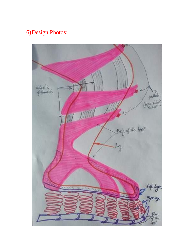## 6)Design Photos:

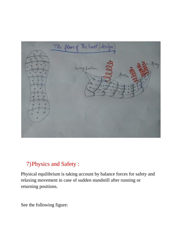

#### 7)Physics and Safety :

Physical equilibrium is taking account by balance forces for safety and relaxing movement in case of sudden standstill after running or returning positions.

See the following figure: